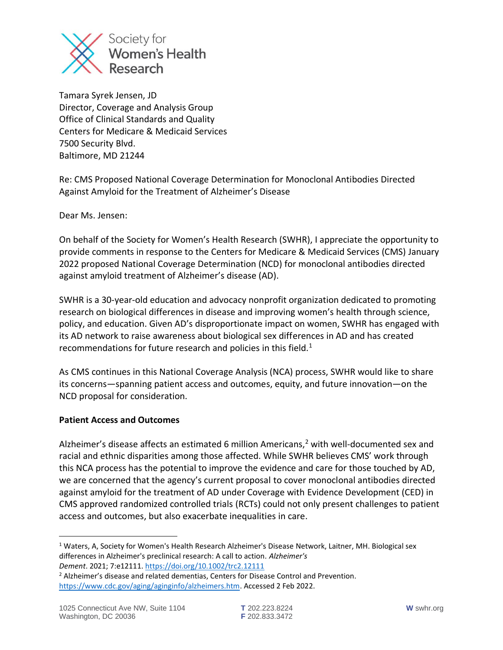

Tamara Syrek Jensen, JD Director, Coverage and Analysis Group Office of Clinical Standards and Quality Centers for Medicare & Medicaid Services 7500 Security Blvd. Baltimore, MD 21244

Re: CMS Proposed National Coverage Determination for Monoclonal Antibodies Directed Against Amyloid for the Treatment of Alzheimer's Disease

Dear Ms. Jensen:

On behalf of the Society for Women's Health Research (SWHR), I appreciate the opportunity to provide comments in response to the Centers for Medicare & Medicaid Services (CMS) January 2022 proposed National Coverage Determination (NCD) for monoclonal antibodies directed against amyloid treatment of Alzheimer's disease (AD).

SWHR is a 30-year-old education and advocacy nonprofit organization dedicated to promoting research on biological differences in disease and improving women's health through science, policy, and education. Given AD's disproportionate impact on women, SWHR has engaged with its AD network to raise awareness about biological sex differences in AD and has created recommendations for future research and policies in this field.<sup>1</sup>

As CMS continues in this National Coverage Analysis (NCA) process, SWHR would like to share its concerns—spanning patient access and outcomes, equity, and future innovation—on the NCD proposal for consideration.

## **Patient Access and Outcomes**

Alzheimer's disease affects an estimated 6 million Americans, $<sup>2</sup>$  with well-documented sex and</sup> racial and ethnic disparities among those affected. While SWHR believes CMS' work through this NCA process has the potential to improve the evidence and care for those touched by AD, we are concerned that the agency's current proposal to cover monoclonal antibodies directed against amyloid for the treatment of AD under Coverage with Evidence Development (CED) in CMS approved randomized controlled trials (RCTs) could not only present challenges to patient access and outcomes, but also exacerbate inequalities in care.

<sup>&</sup>lt;sup>1</sup> Waters, A, Society for Women's Health Research Alzheimer's Disease Network, Laitner, MH. Biological sex differences in Alzheimer's preclinical research: A call to action. *Alzheimer's Dement*. 2021; 7:e12111. <https://doi.org/10.1002/trc2.12111>

<sup>&</sup>lt;sup>2</sup> Alzheimer's disease and related dementias, Centers for Disease Control and Prevention. [https://www.cdc.gov/aging/aginginfo/alzheimers.htm.](https://www.cdc.gov/aging/aginginfo/alzheimers.htm) Accessed 2 Feb 2022.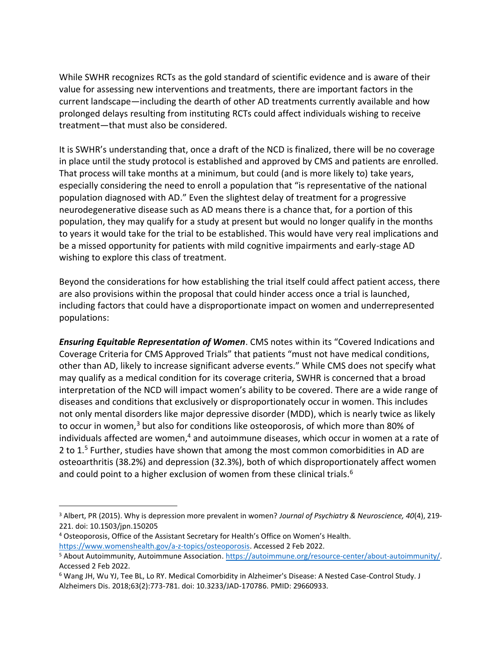While SWHR recognizes RCTs as the gold standard of scientific evidence and is aware of their value for assessing new interventions and treatments, there are important factors in the current landscape—including the dearth of other AD treatments currently available and how prolonged delays resulting from instituting RCTs could affect individuals wishing to receive treatment—that must also be considered.

It is SWHR's understanding that, once a draft of the NCD is finalized, there will be no coverage in place until the study protocol is established and approved by CMS and patients are enrolled. That process will take months at a minimum, but could (and is more likely to) take years, especially considering the need to enroll a population that "is representative of the national population diagnosed with AD." Even the slightest delay of treatment for a progressive neurodegenerative disease such as AD means there is a chance that, for a portion of this population, they may qualify for a study at present but would no longer qualify in the months to years it would take for the trial to be established. This would have very real implications and be a missed opportunity for patients with mild cognitive impairments and early-stage AD wishing to explore this class of treatment.

Beyond the considerations for how establishing the trial itself could affect patient access, there are also provisions within the proposal that could hinder access once a trial is launched, including factors that could have a disproportionate impact on women and underrepresented populations:

*Ensuring Equitable Representation of Women*. CMS notes within its "Covered Indications and Coverage Criteria for CMS Approved Trials" that patients "must not have medical conditions, other than AD, likely to increase significant adverse events." While CMS does not specify what may qualify as a medical condition for its coverage criteria, SWHR is concerned that a broad interpretation of the NCD will impact women's ability to be covered. There are a wide range of diseases and conditions that exclusively or disproportionately occur in women. This includes not only mental disorders like major depressive disorder (MDD), which is nearly twice as likely to occur in women, $3$  but also for conditions like osteoporosis, of which more than 80% of individuals affected are women, $4$  and autoimmune diseases, which occur in women at a rate of 2 to 1.<sup>5</sup> Further, studies have shown that among the most common comorbidities in AD are osteoarthritis (38.2%) and depression (32.3%), both of which disproportionately affect women and could point to a higher exclusion of women from these clinical trials.<sup>6</sup>

<sup>3</sup> Albert, PR (2015). Why is depression more prevalent in women? *Journal of Psychiatry & Neuroscience, 40*(4), 219- 221. doi: 10.1503/jpn.150205

<sup>4</sup> Osteoporosis, Office of the Assistant Secretary for Health's Office on Women's Health. [https://www.womenshealth.gov/a-z-topics/osteoporosis.](https://www.womenshealth.gov/a-z-topics/osteoporosis) Accessed 2 Feb 2022.

<sup>5</sup> About Autoimmunity, Autoimmune Association. [https://autoimmune.org/resource-center/about-autoimmunity/.](https://autoimmune.org/resource-center/about-autoimmunity/) Accessed 2 Feb 2022.

<sup>6</sup> Wang JH, Wu YJ, Tee BL, Lo RY. Medical Comorbidity in Alzheimer's Disease: A Nested Case-Control Study. J Alzheimers Dis. 2018;63(2):773-781. doi: 10.3233/JAD-170786. PMID: 29660933.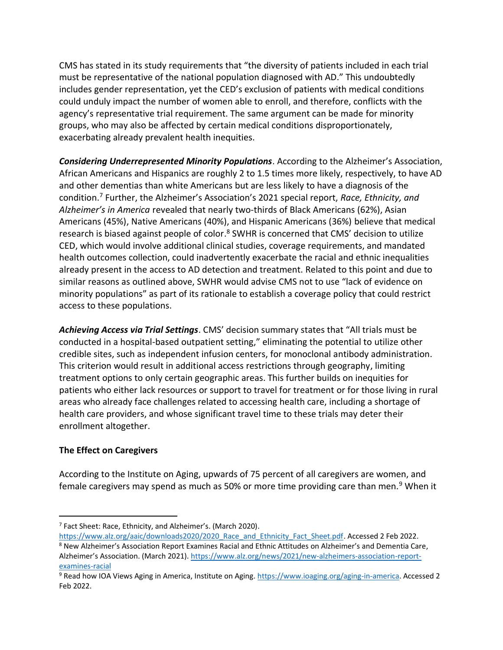CMS has stated in its study requirements that "the diversity of patients included in each trial must be representative of the national population diagnosed with AD." This undoubtedly includes gender representation, yet the CED's exclusion of patients with medical conditions could unduly impact the number of women able to enroll, and therefore, conflicts with the agency's representative trial requirement. The same argument can be made for minority groups, who may also be affected by certain medical conditions disproportionately, exacerbating already prevalent health inequities.

*Considering Underrepresented Minority Populations*. According to the Alzheimer's Association, African Americans and Hispanics are roughly 2 to 1.5 times more likely, respectively, to have AD and other dementias than white Americans but are less likely to have a diagnosis of the condition. <sup>7</sup> Further, the Alzheimer's Association's 2021 special report, *Race, Ethnicity, and Alzheimer's in America* revealed that nearly two-thirds of Black Americans (62%), Asian Americans (45%), Native Americans (40%), and Hispanic Americans (36%) believe that medical research is biased against people of color.<sup>8</sup> SWHR is concerned that CMS' decision to utilize CED, which would involve additional clinical studies, coverage requirements, and mandated health outcomes collection, could inadvertently exacerbate the racial and ethnic inequalities already present in the access to AD detection and treatment. Related to this point and due to similar reasons as outlined above, SWHR would advise CMS not to use "lack of evidence on minority populations" as part of its rationale to establish a coverage policy that could restrict access to these populations.

*Achieving Access via Trial Settings*. CMS' decision summary states that "All trials must be conducted in a hospital-based outpatient setting," eliminating the potential to utilize other credible sites, such as independent infusion centers, for monoclonal antibody administration. This criterion would result in additional access restrictions through geography, limiting treatment options to only certain geographic areas. This further builds on inequities for patients who either lack resources or support to travel for treatment or for those living in rural areas who already face challenges related to accessing health care, including a shortage of health care providers, and whose significant travel time to these trials may deter their enrollment altogether.

## **The Effect on Caregivers**

According to the Institute on Aging, upwards of 75 percent of all caregivers are women, and female caregivers may spend as much as 50% or more time providing care than men.<sup>9</sup> When it

<sup>7</sup> Fact Sheet: Race, Ethnicity, and Alzheimer's. (March 2020).

https://www.alz.org/aaic/downloads2020/2020 Race and Ethnicity Fact Sheet.pdf. Accessed 2 Feb 2022. <sup>8</sup> New Alzheimer's Association Report Examines Racial and Ethnic Attitudes on Alzheimer's and Dementia Care,

Alzheimer's Association. (March 2021). [https://www.alz.org/news/2021/new-alzheimers-association-report](https://www.alz.org/news/2021/new-alzheimers-association-report-examines-racial)[examines-racial](https://www.alz.org/news/2021/new-alzheimers-association-report-examines-racial)

<sup>9</sup> Read how IOA Views Aging in America, Institute on Aging[. https://www.ioaging.org/aging-in-america.](https://www.ioaging.org/aging-in-america) Accessed 2 Feb 2022.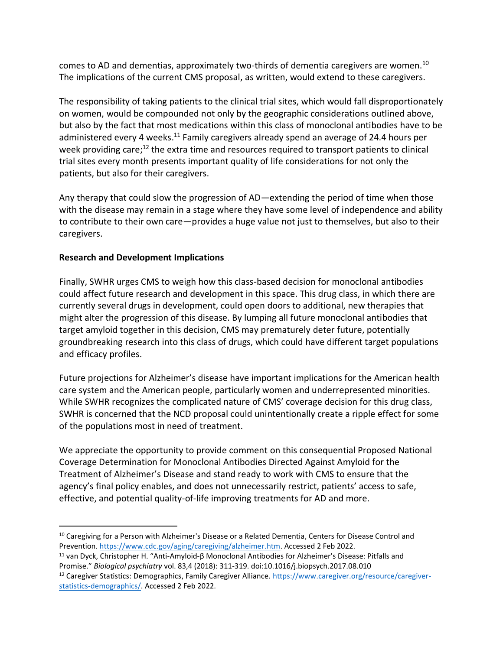comes to AD and dementias, approximately two-thirds of dementia caregivers are women.<sup>10</sup> The implications of the current CMS proposal, as written, would extend to these caregivers.

The responsibility of taking patients to the clinical trial sites, which would fall disproportionately on women, would be compounded not only by the geographic considerations outlined above, but also by the fact that most medications within this class of monoclonal antibodies have to be administered every 4 weeks.<sup>11</sup> Family caregivers already spend an average of 24.4 hours per week providing care;<sup>12</sup> the extra time and resources required to transport patients to clinical trial sites every month presents important quality of life considerations for not only the patients, but also for their caregivers.

Any therapy that could slow the progression of AD—extending the period of time when those with the disease may remain in a stage where they have some level of independence and ability to contribute to their own care—provides a huge value not just to themselves, but also to their caregivers.

## **Research and Development Implications**

Finally, SWHR urges CMS to weigh how this class-based decision for monoclonal antibodies could affect future research and development in this space. This drug class, in which there are currently several drugs in development, could open doors to additional, new therapies that might alter the progression of this disease. By lumping all future monoclonal antibodies that target amyloid together in this decision, CMS may prematurely deter future, potentially groundbreaking research into this class of drugs, which could have different target populations and efficacy profiles.

Future projections for Alzheimer's disease have important implications for the American health care system and the American people, particularly women and underrepresented minorities. While SWHR recognizes the complicated nature of CMS' coverage decision for this drug class, SWHR is concerned that the NCD proposal could unintentionally create a ripple effect for some of the populations most in need of treatment.

We appreciate the opportunity to provide comment on this consequential Proposed National Coverage Determination for Monoclonal Antibodies Directed Against Amyloid for the Treatment of Alzheimer's Disease and stand ready to work with CMS to ensure that the agency's final policy enables, and does not unnecessarily restrict, patients' access to safe, effective, and potential quality-of-life improving treatments for AD and more.

<sup>11</sup> van Dyck, Christopher H. "Anti-Amyloid-β Monoclonal Antibodies for Alzheimer's Disease: Pitfalls and Promise." *Biological psychiatry* vol. 83,4 (2018): 311-319. doi:10.1016/j.biopsych.2017.08.010

<sup>&</sup>lt;sup>10</sup> Caregiving for a Person with Alzheimer's Disease or a Related Dementia, Centers for Disease Control and Prevention[. https://www.cdc.gov/aging/caregiving/alzheimer.htm.](https://www.cdc.gov/aging/caregiving/alzheimer.htm) Accessed 2 Feb 2022.

<sup>&</sup>lt;sup>12</sup> Caregiver Statistics: Demographics, Family Caregiver Alliance. [https://www.caregiver.org/resource/caregiver](https://www.caregiver.org/resource/caregiver-statistics-demographics/)[statistics-demographics/.](https://www.caregiver.org/resource/caregiver-statistics-demographics/) Accessed 2 Feb 2022.